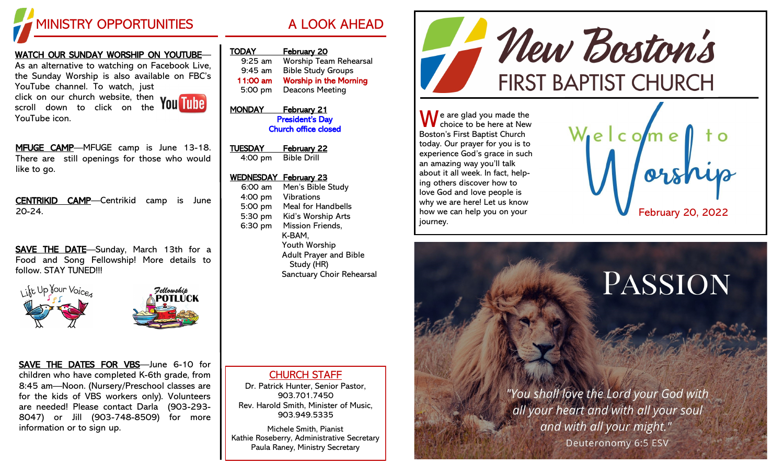

### WATCH OUR SUNDAY WORSHIP ON YOUTUBE—

As an alternative to watching on Facebook Live, the Sunday Worship is also available on FBC's YouTube channel. To watch, just click on our church website, then

scroll down to click on the YouTube icon.



MFUGE CAMP-MFUGE camp is June 13-18. There are still openings for those who would like to go.

CENTRIKID CAMP—Centrikid camp is June 20-24.

SAVE THE DATE-Sunday, March 13th for a Food and Song Fellowship! More details to follow. STAY TUNED!!!

ikt Up Your Voice



SAVE THE DATES FOR VBS—June 6-10 for children who have completed K-6th grade, from 8:45 am—Noon. (Nursery/Preschool classes are for the kids of VBS workers only). Volunteers are needed! Please contact Darla (903-293- 8047) or Jill (903-748-8509) for more information or to sign up.

| TODAY     | <b>February 20</b>            |
|-----------|-------------------------------|
| $9:25$ am | <b>Worship Team Rehearsal</b> |
| $9:45$ am | <b>Bible Study Groups</b>     |
| 11:00 am  | <b>Worship in the Morning</b> |
| 5:00 pm   | <b>Deacons Meeting</b>        |
|           |                               |

MONDAY February 21 President's Day Church office closed

TUESDAY February 22 4:00 pm Bible Drill

### WEDNESDAY February 23

6:00 am Men's Bible Study 4:00 pm Vibrations 5:00 pm Meal for Handbells 5:30 pm Kid's Worship Arts 6:30 pm Mission Friends, K-BAM, Youth Worship Adult Prayer and Bible Study (HR) Sanctuary Choir Rehearsal

### CHURCH STAFF

Dr. Patrick Hunter, Senior Pastor, 903.701.7450 Rev. Harold Smith, Minister of Music, 903.949.5335

Michele Smith, Pianist Kathie Roseberry, Administrative Secretary Paula Raney, Ministry Secretary



 $\bigwedge$  e are glad you made the choice to be here at New Boston's First Baptist Church today. Our prayer for you is to experience God's grace in such an amazing way you'll talk about it all week. In fact, helping others discover how to love God and love people is why we are here! Let us know how we can help you on your journey.



# PASSION

"You shall love the Lord your God with all your heart and with all your soul and with all your might." Deuteronomy 6:5 ESV